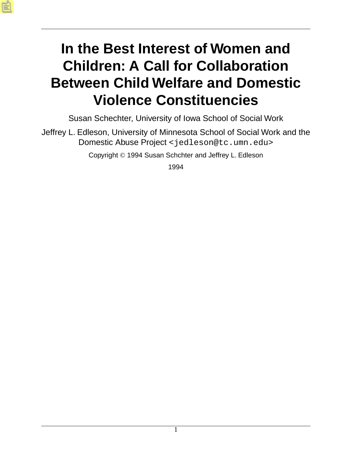# **In the Best Interest of Women and Children: A Call for Collaboration Between Child Welfare and Domestic Violence Constituencies**

Susan Schechter, University of Iowa School of Social Work

Jeffrey L. Edleson, University of Minnesota School of Social Work and the Domestic Abuse Project <jedleson@tc.umn.edu>

Copyright © 1994 Susan Schchter and Jeffrey L. Edleson

1994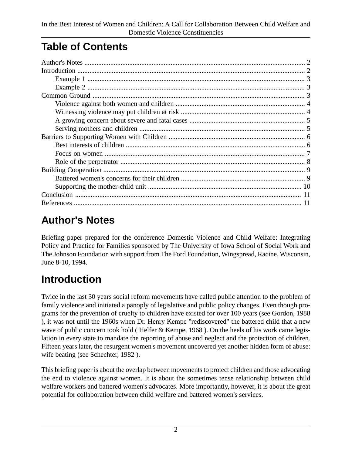## **Table of Contents**

### <span id="page-1-0"></span>**Author's Notes**

<span id="page-1-1"></span>Briefing paper prepared for the conference Domestic Violence and Child Welfare: Integrating Policy and Practice for Families sponsored by The University of Iowa School of Social Work and The Johnson Foundation with support from The Ford Foundation, Wingspread, Racine, Wisconsin, June 8-10, 1994.

### **Introduction**

Twice in the last 30 years social reform movements have called public attention to the problem of family violence and initiated a panoply of legislative and public policy changes. Even though programs for the prevention of cruelty to children have existed for over 100 years (see [Gordon, 1988](#page-11-0) ), it was not until the 1960s when Dr. Henry Kempe "rediscovered" the battered child that a new wave of public concern took hold (Helfer & Kempe, 1968). On the heels of his work came legislation in every state to mandate the reporting of abuse and neglect and the protection of children. Fifteen years later, the resurgent women's movement uncovered yet another hidden form of abuse: wife beating (see [Schechter, 1982](#page-13-0) ).

This briefing paper is about the overlap between movements to protect children and those advocating the end to violence against women. It is about the sometimes tense relationship between child welfare workers and battered women's advocates. More importantly, however, it is about the great potential for collaboration between child welfare and battered women's services.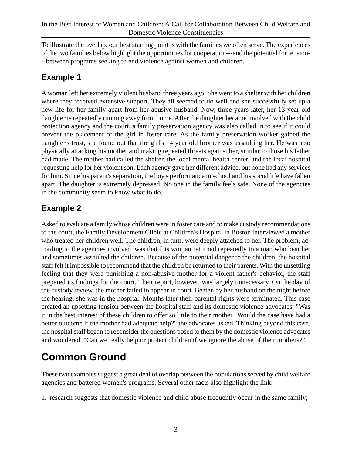To illustrate the overlap, our best starting point is with the families we often serve. The experiences of the two families below highlight the opportunities for cooperation---and the potential for tension- --between programs seeking to end violence against women and children.

### <span id="page-2-0"></span>**Example 1**

A woman left her extremely violent husband three years ago. She went to a shelter with her children where they received extensive support. They all seemed to do well and she successfully set up a new life for her family apart from her abusive husband. Now, three years later, her 13 year old daughter is repeatedly running away from home. After the daughter became involved with the child protection agency and the court, a family preservation agency was also called in to see if it could prevent the placement of the girl in foster care. As the family preservation worker gained the daughter's trust, she found out that the girl's 14 year old brother was assaulting her. He was also physically attacking his mother and making repeated threats against her, similar to those his father had made. The mother had called the shelter, the local mental health center, and the local hospital requesting help for her violent son. Each agency gave her different advice, but none had any services for him. Since his parent's separation, the boy's performance in school and his social life have fallen apart. The daughter is extremely depressed. No one in the family feels safe. None of the agencies in the community seem to know what to do.

### <span id="page-2-1"></span>**Example 2**

Asked to evaluate a family whose children were in foster care and to make custody recommendations to the court, the Family Development Clinic at Children's Hospital in Boston interviewed a mother who treated her children well. The children, in turn, were deeply attached to her. The problem, according to the agencies involved, was that this woman returned repeatedly to a man who beat her and sometimes assaulted the children. Because of the potential danger to the children, the hospital staff felt it impossible to recommend that the children be returned to their parents. With the unsettling feeling that they were punishing a non-abusive mother for a violent father's behavior, the staff prepared its findings for the court. Their report, however, was largely unnecessary. On the day of the custody review, the mother failed to appear in court. Beaten by her husband on the night before the hearing, she was in the hospital. Months later their parental rights were terminated. This case created an upsetting tension between the hospital staff and its domestic violence advocates. "Was it in the best interest of these children to offer so little to their mother? Would the case have had a better outcome if the mother had adequate help?" the advocates asked. Thinking beyond this case, the hospital staff began to reconsider the questions posed to them by the domestic violence advocates and wondered, "Can we really help or protect children if we ignore the abuse of their mothers?"

# <span id="page-2-2"></span>**Common Ground**

These two examples suggest a great deal of overlap between the populations served by child welfare agencies and battered women's programs. Several other facts also highlight the link:

1. research suggests that domestic violence and child abuse frequently occur in the same family;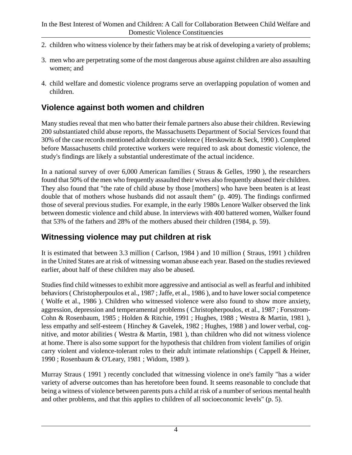- 2. children who witness violence by their fathers may be at risk of developing a variety of problems;
- 3. men who are perpetrating some of the most dangerous abuse against children are also assaulting women; and
- 4. child welfare and domestic violence programs serve an overlapping population of women and children.

#### <span id="page-3-0"></span>**Violence against both women and children**

Many studies reveal that men who batter their female partners also abuse their children. Reviewing 200 substantiated child abuse reports, the Massachusetts Department of Social Services found that 30% of the case records mentioned adult domestic violence ( [Herskowitz & Seck, 1990](#page-12-1) ). Completed before Massachusetts child protective workers were required to ask about domestic violence, the study's findings are likely a substantial underestimate of the actual incidence.

In a national survey of over 6,000 American families ( [Straus & Gelles, 1990](#page-13-1) ), the researchers found that 50% of the men who frequently assaulted their wives also frequently abused their children. They also found that "the rate of child abuse by those [mothers] who have been beaten is at least double that of mothers whose husbands did not assault them" (p. 409). The findings confirmed those of several previous studies. For example, in the early 1980s Lenore Walker observed the link between domestic violence and child abuse. In interviews with 400 battered women, Walker found that 53% of the fathers and 28% of the mothers abused their children [\(1984,](#page-14-0) p. 59).

#### <span id="page-3-1"></span>**Witnessing violence may put children at risk**

It is estimated that between 3.3 million ( [Carlson, 1984](#page-11-1) ) and 10 million ( [Straus, 1991](#page-13-2) ) children in the United States are at risk of witnessing woman abuse each year. Based on the studies reviewed earlier, about half of these children may also be abused.

Studies find child witnesses to exhibit more aggressive and antisocial as well as fearful and inhibited behaviors ( [Christopherpoulos et al., 1987](#page-11-2) ; [Jaffe, et al., 1986](#page-12-2) ), and to have lower social competence ( [Wolfe et al., 1986](#page-14-1) ). Children who witnessed violence were also found to show more anxiety, aggression, depression and temperamental problems ( [Christopherpoulos, et al., 1987](#page-11-2) ; [Forsstrom-](#page-11-3)[Cohn & Rosenbaum, 1985](#page-11-3) ; [Holden & Ritchie, 1991](#page-12-3) ; [Hughes, 1988](#page-12-4) ; [Westra & Martin, 1981](#page-14-2) ), less empathy and self-esteem ( [Hinchey & Gavelek, 1982](#page-12-5) ; [Hughes, 1988](#page-12-4) ) and lower verbal, cognitive, and motor abilities ( [Westra & Martin, 1981](#page-14-2) ), than children who did not witness violence at home. There is also some support for the hypothesis that children from violent families of origin carry violent and violence-tolerant roles to their adult intimate relationships ( [Cappell & Heiner,](#page-11-4) [1990](#page-11-4) ; [Rosenbaum & O'Leary, 1981](#page-13-3) ; [Widom, 1989](#page-14-3) ).

Murray Straus ( [1991](#page-13-2) ) recently concluded that witnessing violence in one's family "has a wider variety of adverse outcomes than has heretofore been found. It seems reasonable to conclude that being a witness of violence between parents puts a child at risk of a number of serious mental health and other problems, and that this applies to children of all socioeconomic levels" (p. 5).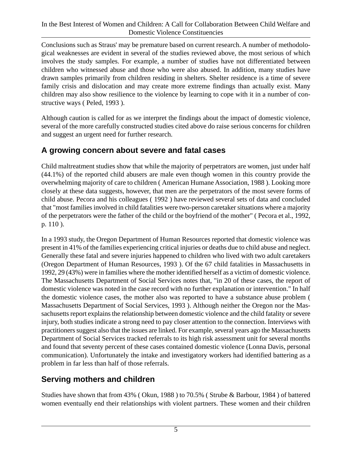Conclusions such as Straus' may be premature based on current research. A number of methodological weaknesses are evident in several of the studies reviewed above, the most serious of which involves the study samples. For example, a number of studies have not differentiated between children who witnessed abuse and those who were also abused. In addition, many studies have drawn samples primarily from children residing in shelters. Shelter residence is a time of severe family crisis and dislocation and may create more extreme findings than actually exist. Many children may also show resilience to the violence by learning to cope with it in a number of constructive ways ( [Peled, 1993](#page-13-4) ).

<span id="page-4-0"></span>Although caution is called for as we interpret the findings about the impact of domestic violence, several of the more carefully constructed studies cited above do raise serious concerns for children and suggest an urgent need for further research.

#### **A growing concern about severe and fatal cases**

Child maltreatment studies show that while the majority of perpetrators are women, just under half (44.1%) of the reported child abusers are male even though women in this country provide the overwhelming majority of care to children ( [American Humane Association, 1988](#page-10-2) ). Looking more closely at these data suggests, however, that men are the perpetrators of the most severe forms of child abuse. Pecora and his colleagues ( [1992](#page-13-5) ) have reviewed several sets of data and concluded that "most families involved in child fatalities were two-person caretaker situations where a majority of the perpetrators were the father of the child or the boyfriend of the mother" ( [Pecora et al., 1992,](#page-13-5) [p. 110](#page-13-5) ).

In a 1993 study, the Oregon Department of Human Resources reported that domestic violence was present in 41% of the families experiencing critical injuries or deaths due to child abuse and neglect. Generally these fatal and severe injuries happened to children who lived with two adult caretakers ([Oregon Department of Human Resources, 1993](#page-12-6) ). Of the 67 child fatalities in Massachusetts in 1992, 29 (43%) were in families where the mother identified herself as a victim of domestic violence. The Massachusetts Department of Social Services notes that, "in 20 of these cases, the report of domestic violence was noted in the case record with no further explanation or intervention." In half the domestic violence cases, the mother also was reported to have a substance abuse problem ( Massachusetts Department of Social Services, 1993 ). Although neither the Oregon nor the Massachusetts report explains the relationship between domestic violence and the child fatality or severe injury, both studies indicate a strong need to pay closer attention to the connection. Interviews with practitioners suggest also that the issues are linked. For example, several years ago the Massachusetts Department of Social Services tracked referrals to its high risk assessment unit for several months and found that seventy percent of these cases contained domestic violence (Lonna Davis, personal communication). Unfortunately the intake and investigatory workers had identified battering as a problem in far less than half of those referrals.

### <span id="page-4-1"></span>**Serving mothers and children**

Studies have shown that from 43% ( [Okun, 1988](#page-12-7) ) to 70.5% ( [Strube & Barbour, 1984](#page-13-6) ) of battered women eventually end their relationships with violent partners. These women and their children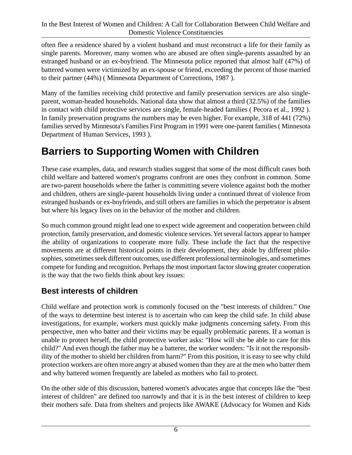often flee a residence shared by a violent husband and must reconstruct a life for their family as single parents. Moreover, many women who are abused are often single-parents assaulted by an estranged husband or an ex-boyfriend. The Minnesota police reported that almost half (47%) of battered women were victimized by an ex-spouse or friend, exceeding the percent of those married to their partner (44%) ( [Minnesota Department of Corrections, 1987](#page-12-8) ).

Many of the families receiving child protective and family preservation services are also singleparent, woman-headed households. National data show that almost a third (32.5%) of the families in contact with child protective services are single, female-headed families ( [Pecora et al., 1992](#page-13-5) ). In family preservation programs the numbers may be even higher. For example, 318 of 441 (72%) families served by Minnesota's Families First Program in 1991 were one-parent families ( [Minnesota](#page-12-9) [Department of Human Services, 1993](#page-12-9) ).

# <span id="page-5-0"></span>**Barriers to Supporting Women with Children**

These case examples, data, and research studies suggest that some of the most difficult cases both child welfare and battered women's programs confront are ones they confront in common. Some are two-parent households where the father is committing severe violence against both the mother and children, others are single-parent households living under a continued threat of violence from estranged husbands or ex-boyfriends, and still others are families in which the perpetrator is absent but where his legacy lives on in the behavior of the mother and children.

<span id="page-5-1"></span>So much common ground might lead one to expect wide agreement and cooperation between child protection, family preservation, and domestic violence services. Yet several factors appear to hamper the ability of organizations to cooperate more fully. These include the fact that the respective movements are at different historical points in their development, they abide by different philosophies, sometimes seek different outcomes, use different professional terminologies, and sometimes compete for funding and recognition. Perhaps the most important factor slowing greater cooperation is the way that the two fields think about key issues:

#### **Best interests of children**

Child welfare and protection work is commonly focused on the "best interests of children." One of the ways to determine best interest is to ascertain who can keep the child safe. In child abuse investigations, for example, workers must quickly make judgments concerning safety. From this perspective, men who batter and their victims may be equally problematic parents. If a woman is unable to protect herself, the child protective worker asks: "How will she be able to care for this child?" And even though the father may be a batterer, the worker wonders: "Is it not the responsibility of the mother to shield her children from harm?" From this position, it is easy to see why child protection workers are often more angry at abused women than they are at the men who batter them and why battered women frequently are labeled as mothers who fail to protect.

On the other side of this discussion, battered women's advocates argue that concepts like the "best interest of children" are defined too narrowly and that it is in the best interest of children to keep their mothers safe. Data from shelters and projects like AWAKE (Advocacy for Women and Kids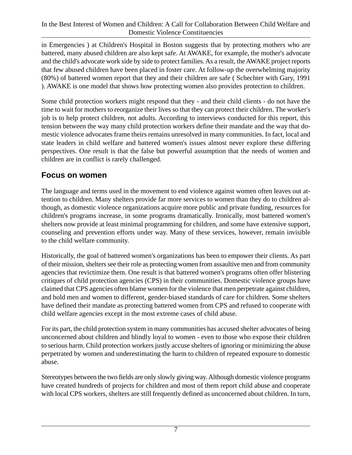#### In the Best Interest of Women and Children: A Call for Collaboration Between Child Welfare and Domestic Violence Constituencies

in Emergencies ) at Children's Hospital in Boston suggests that by protecting mothers who are battered, many abused children are also kept safe. At AWAKE, for example, the mother's advocate and the child's advocate work side by side to protect families. As a result, the AWAKE project reports that few abused children have been placed in foster care. At follow-up the overwhelming majority (80%) of battered women report that they and their children are safe ( [Schechter with Gary, 1991](#page-13-7) ). AWAKE is one model that shows how protecting women also provides protection to children.

Some child protection workers might respond that they - and their child clients - do not have the time to wait for mothers to reorganize their lives so that they can protect their children. The worker's job is to help protect children, not adults. According to interviews conducted for this report, this tension between the way many child protection workers define their mandate and the way that domestic violence advocates frame theirs remains unresolved in many communities. In fact, local and state leaders in child welfare and battered women's issues almost never explore these differing perspectives. One result is that the false but powerful assumption that the needs of women and children are in conflict is rarely challenged.

#### <span id="page-6-0"></span>**Focus on women**

The language and terms used in the movement to end violence against women often leaves out attention to children. Many shelters provide far more services to women than they do to children although, as domestic violence organizations acquire more public and private funding, resources for children's programs increase, in some programs dramatically. Ironically, most battered women's shelters now provide at least minimal programming for children, and some have extensive support, counseling and prevention efforts under way. Many of these services, however, remain invisible to the child welfare community.

Historically, the goal of battered women's organizations has been to empower their clients. As part of their mission, shelters see their role as protecting women from assaultive men and from community agencies that revictimize them. One result is that battered women's programs often offer blistering critiques of child protection agencies (CPS) in their communities. Domestic violence groups have claimed that CPS agencies often blame women for the violence that men perpetrate against children, and hold men and women to different, gender-biased standards of care for children. Some shelters have defined their mandate as protecting battered women from CPS and refused to cooperate with child welfare agencies except in the most extreme cases of child abuse.

For its part, the child protection system in many communities has accused shelter advocates of being unconcerned about children and blindly loyal to women - even to those who expose their children to serious harm. Child protection workers justly accuse shelters of ignoring or minimizing the abuse perpetrated by women and underestimating the harm to children of repeated exposure to domestic abuse.

Stereotypes between the two fields are only slowly giving way. Although domestic violence programs have created hundreds of projects for children and most of them report child abuse and cooperate with local CPS workers, shelters are still frequently defined as unconcerned about children. In turn,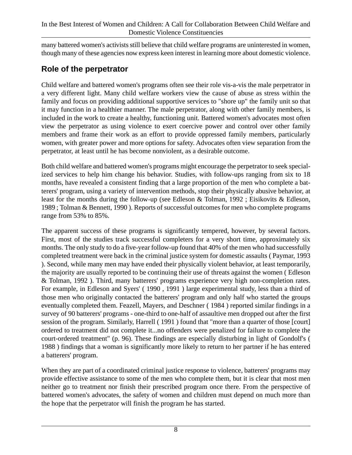many battered women's activists still believe that child welfare programs are uninterested in women, though many of these agencies now express keen interest in learning more about domestic violence.

### <span id="page-7-0"></span>**Role of the perpetrator**

Child welfare and battered women's programs often see their role vis-a-vis the male perpetrator in a very different light. Many child welfare workers view the cause of abuse as stress within the family and focus on providing additional supportive services to "shore up" the family unit so that it may function in a healthier manner. The male perpetrator, along with other family members, is included in the work to create a healthy, functioning unit. Battered women's advocates most often view the perpetrator as using violence to exert coercive power and control over other family members and frame their work as an effort to provide oppressed family members, particularly women, with greater power and more options for safety. Advocates often view separation from the perpetrator, at least until he has become nonviolent, as a desirable outcome.

Both child welfare and battered women's programs might encourage the perpetrator to seek specialized services to help him change his behavior. Studies, with follow-ups ranging from six to 18 months, have revealed a consistent finding that a large proportion of the men who complete a batterers' program, using a variety of intervention methods, stop their physically abusive behavior, at least for the months during the follow-up (see [Edleson & Tolman, 1992](#page-11-5) ; [Eisikovits & Edleson,](#page-11-6) [1989](#page-11-6) ; [Tolman & Bennett, 1990](#page-13-8) ). Reports of successful outcomes for men who complete programs range from 53% to 85%.

The apparent success of these programs is significantly tempered, however, by several factors. First, most of the studies track successful completers for a very short time, approximately six months. The only study to do a five-year follow-up found that 40% of the men who had successfully completed treatment were back in the criminal justice system for domestic assaults ( [Paymar, 1993](#page-13-9) ). Second, while many men may have ended their physically violent behavior, at least temporarily, the majority are usually reported to be continuing their use of threats against the women ( [Edleson](#page-11-5) [& Tolman, 1992](#page-11-5) ). Third, many batterers' programs experience very high non-completion rates. For example, in Edleson and Syers' ( [1990](#page-11-7) , [1991](#page-11-8) ) large experimental study, less than a third of those men who originally contacted the batterers' program and only half who started the groups eventually completed them. Feazell, Mayers, and Deschner ( [1984](#page-11-9) ) reported similar findings in a survey of 90 batterers' programs - one-third to one-half of assaultive men dropped out after the first session of the program. Similarly, Harrell ( [1991](#page-12-10) ) found that "more than a quarter of those [court] ordered to treatment did not complete it...no offenders were penalized for failure to complete the court-ordered treatment" (p. 96). These findings are especially disturbing in light of Gondolf's ( [1988](#page-11-10) ) findings that a woman is significantly more likely to return to her partner if he has entered a batterers' program.

When they are part of a coordinated criminal justice response to violence, batterers' programs may provide effective assistance to some of the men who complete them, but it is clear that most men neither go to treatment nor finish their prescribed program once there. From the perspective of battered women's advocates, the safety of women and children must depend on much more than the hope that the perpetrator will finish the program he has started.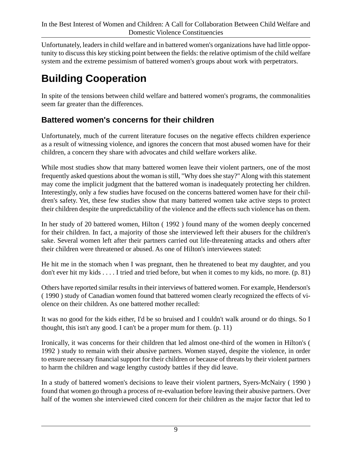Unfortunately, leaders in child welfare and in battered women's organizations have had little opportunity to discuss this key sticking point between the fields: the relative optimism of the child welfare system and the extreme pessimism of battered women's groups about work with perpetrators.

# <span id="page-8-0"></span>**Building Cooperation**

<span id="page-8-1"></span>In spite of the tensions between child welfare and battered women's programs, the commonalities seem far greater than the differences.

#### **Battered women's concerns for their children**

Unfortunately, much of the current literature focuses on the negative effects children experience as a result of witnessing violence, and ignores the concern that most abused women have for their children, a concern they share with advocates and child welfare workers alike.

While most studies show that many battered women leave their violent partners, one of the most frequently asked questions about the woman is still, "Why does she stay?" Along with this statement may come the implicit judgment that the battered woman is inadequately protecting her children. Interestingly, only a few studies have focused on the concerns battered women have for their children's safety. Yet, these few studies show that many battered women take active steps to protect their children despite the unpredictability of the violence and the effects such violence has on them.

In her study of 20 battered women, Hilton ( [1992](#page-12-11) ) found many of the women deeply concerned for their children. In fact, a majority of those she interviewed left their abusers for the children's sake. Several women left after their partners carried out life-threatening attacks and others after their children were threatened or abused. As one of Hilton's interviewees stated:

He hit me in the stomach when I was pregnant, then he threatened to beat my daughter, and you don't ever hit my kids . . . . I tried and tried before, but when it comes to my kids, no more. (p. 81)

Others have reported similar results in their interviews of battered women. For example, Henderson's ( [1990](#page-12-12) ) study of Canadian women found that battered women clearly recognized the effects of violence on their children. As one battered mother recalled:

It was no good for the kids either, I'd be so bruised and I couldn't walk around or do things. So I thought, this isn't any good. I can't be a proper mum for them. (p. 11)

Ironically, it was concerns for their children that led almost one-third of the women in Hilton's ( [1992](#page-12-11) ) study to remain with their abusive partners. Women stayed, despite the violence, in order to ensure necessary financial support for their children or because of threats by their violent partners to harm the children and wage lengthy custody battles if they did leave.

In a study of battered women's decisions to leave their violent partners, Syers-McNairy ( [1990](#page-13-10) ) found that women go through a process of re-evaluation before leaving their abusive partners. Over half of the women she interviewed cited concern for their children as the major factor that led to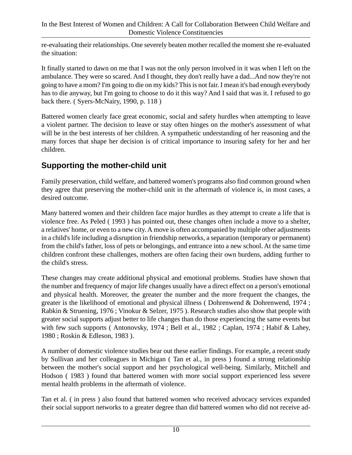re-evaluating their relationships. One severely beaten mother recalled the moment she re-evaluated the situation:

It finally started to dawn on me that I was not the only person involved in it was when I left on the ambulance. They were so scared. And I thought, they don't really have a dad...And now they're not going to have a mom? I'm going to die on my kids? This is not fair. I mean it's bad enough everybody has to die anyway, but I'm going to choose to do it this way? And I said that was it. I refused to go back there. ( [Syers-McNairy, 1990, p. 118](#page-13-10) )

Battered women clearly face great economic, social and safety hurdles when attempting to leave a violent partner. The decision to leave or stay often hinges on the mother's assessment of what will be in the best interests of her children. A sympathetic understanding of her reasoning and the many forces that shape her decision is of critical importance to insuring safety for her and her children.

#### <span id="page-9-0"></span>**Supporting the mother-child unit**

Family preservation, child welfare, and battered women's programs also find common ground when they agree that preserving the mother-child unit in the aftermath of violence is, in most cases, a desired outcome.

Many battered women and their children face major hurdles as they attempt to create a life that is violence free. As Peled ( [1993](#page-13-4) ) has pointed out, these changes often include a move to a shelter, a relatives' home, or even to a new city. A move is often accompanied by multiple other adjustments in a child's life including a disruption in friendship networks, a separation (temporary or permanent) from the child's father, loss of pets or belongings, and entrance into a new school. At the same time children confront these challenges, mothers are often facing their own burdens, adding further to the child's stress.

These changes may create additional physical and emotional problems. Studies have shown that the number and frequency of major life changes usually have a direct effect on a person's emotional and physical health. Moreover, the greater the number and the more frequent the changes, the greater is the likelihood of emotional and physical illness ( [Dohrenwend & Dohrenwend, 1974](#page-11-11) ; [Rabkin & Struening, 1976](#page-13-11) ; [Vinokur & Selzer, 1975](#page-13-12) ). Research studies also show that people with greater social supports adjust better to life changes than do those experiencing the same events but with few such supports (Antonovsky, 1974; [Bell et al., 1982](#page-11-12); [Caplan, 1974](#page-11-13); [Habif & Lahey,](#page-11-14) [1980](#page-11-14) ; [Roskin & Edleson, 1983](#page-13-13) ).

A number of domestic violence studies bear out these earlier findings. For example, a recent study by Sullivan and her colleagues in Michigan ( [Tan et al., in press](#page-13-14) ) found a strong relationship between the mother's social support and her psychological well-being. Similarly, Mitchell and Hodson ( [1983](#page-12-13) ) found that battered women with more social support experienced less severe mental health problems in the aftermath of violence.

Tan et al. ( [in press](#page-13-14) ) also found that battered women who received advocacy services expanded their social support networks to a greater degree than did battered women who did not receive ad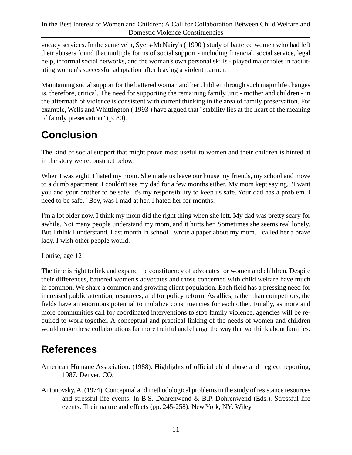vocacy services. In the same vein, Syers-McNairy's ( [1990](#page-13-10) ) study of battered women who had left their abusers found that multiple forms of social support - including financial, social service, legal help, informal social networks, and the woman's own personal skills - played major roles in facilitating women's successful adaptation after leaving a violent partner.

Maintaining social support for the battered woman and her children through such major life changes is, therefore, critical. The need for supporting the remaining family unit - mother and children - in the aftermath of violence is consistent with current thinking in the area of family preservation. For example, Wells and Whittington ( [1993](#page-14-4) ) have argued that "stability lies at the heart of the meaning of family preservation" (p. 80).

# <span id="page-10-0"></span>**Conclusion**

The kind of social support that might prove most useful to women and their children is hinted at in the story we reconstruct below:

When I was eight, I hated my mom. She made us leave our house my friends, my school and move to a dumb apartment. I couldn't see my dad for a few months either. My mom kept saying, "I want you and your brother to be safe. It's my responsibility to keep us safe. Your dad has a problem. I need to be safe." Boy, was I mad at her. I hated her for months.

I'm a lot older now. I think my mom did the right thing when she left. My dad was pretty scary for awhile. Not many people understand my mom, and it hurts her. Sometimes she seems real lonely. But I think I understand. Last month in school I wrote a paper about my mom. I called her a brave lady. I wish other people would.

Louise, age 12

The time is right to link and expand the constituency of advocates for women and children. Despite their differences, battered women's advocates and those concerned with child welfare have much in common. We share a common and growing client population. Each field has a pressing need for increased public attention, resources, and for policy reform. As allies, rather than competitors, the fields have an enormous potential to mobilize constituencies for each other. Finally, as more and more communities call for coordinated interventions to stop family violence, agencies will be required to work together. A conceptual and practical linking of the needs of women and children would make these collaborations far more fruitful and change the way that we think about families.

### <span id="page-10-3"></span><span id="page-10-2"></span><span id="page-10-1"></span>**References**

- American Humane Association. (1988). Highlights of official child abuse and neglect reporting, 1987. Denver, CO.
- Antonovsky, A. (1974). Conceptual and methodological problems in the study of resistance resources and stressful life events. In B.S. Dohrenwend & B.P. Dohrenwend (Eds.). Stressful life events: Their nature and effects (pp. 245-258). New York, NY: Wiley.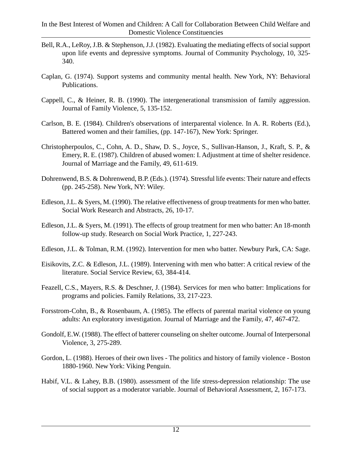- <span id="page-11-12"></span>Bell, R.A., LeRoy, J.B. & Stephenson, J.J. (1982). Evaluating the mediating effects of social support upon life events and depressive symptoms. Journal of Community Psychology, 10, 325- 340.
- <span id="page-11-13"></span>Caplan, G. (1974). Support systems and community mental health. New York, NY: Behavioral Publications.
- <span id="page-11-4"></span><span id="page-11-1"></span>Cappell, C., & Heiner, R. B. (1990). The intergenerational transmission of family aggression. Journal of Family Violence, 5, 135-152.
- <span id="page-11-2"></span>Carlson, B. E. (1984). Children's observations of interparental violence. In A. R. Roberts (Ed.), Battered women and their families, (pp. 147-167), New York: Springer.
- <span id="page-11-11"></span>Christopherpoulos, C., Cohn, A. D., Shaw, D. S., Joyce, S., Sullivan-Hanson, J., Kraft, S. P., & Emery, R. E. (1987). Children of abused women: I. Adjustment at time of shelter residence. Journal of Marriage and the Family, 49, 611-619.
- <span id="page-11-7"></span>Dohrenwend, B.S. & Dohrenwend, B.P. (Eds.). (1974). Stressful life events: Their nature and effects (pp. 245-258). New York, NY: Wiley.
- <span id="page-11-8"></span>Edleson, J.L. & Syers, M. (1990). The relative effectiveness of group treatments for men who batter. Social Work Research and Abstracts, 26, 10-17.
- <span id="page-11-5"></span>Edleson, J.L. & Syers, M. (1991). The effects of group treatment for men who batter: An 18-month follow-up study. Research on Social Work Practice, 1, 227-243.
- <span id="page-11-6"></span>Edleson, J.L. & Tolman, R.M. (1992). Intervention for men who batter. Newbury Park, CA: Sage.
- <span id="page-11-9"></span>Eisikovits, Z.C. & Edleson, J.L. (1989). Intervening with men who batter: A critical review of the literature. Social Service Review, 63, 384-414.
- <span id="page-11-3"></span>Feazell, C.S., Mayers, R.S. & Deschner, J. (1984). Services for men who batter: Implications for programs and policies. Family Relations, 33, 217-223.
- <span id="page-11-10"></span><span id="page-11-0"></span>Forsstrom-Cohn, B., & Rosenbaum, A. (1985). The effects of parental marital violence on young adults: An exploratory investigation. Journal of Marriage and the Family, 47, 467-472.
- <span id="page-11-14"></span>Gondolf, E.W. (1988). The effect of batterer counseling on shelter outcome. Journal of Interpersonal Violence, 3, 275-289.
- Gordon, L. (1988). Heroes of their own lives The politics and history of family violence Boston 1880-1960. New York: Viking Penguin.
- Habif, V.L. & Lahey, B.B. (1980). assessment of the life stress-depression relationship: The use of social support as a moderator variable. Journal of Behavioral Assessment, 2, 167-173.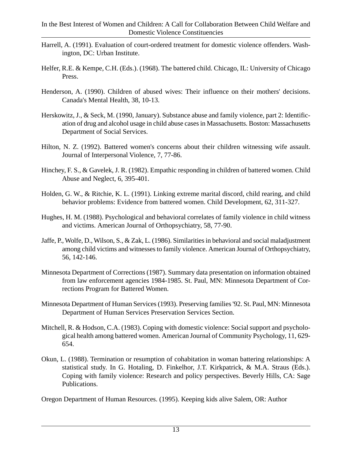- <span id="page-12-10"></span>Harrell, A. (1991). Evaluation of court-ordered treatment for domestic violence offenders. Washington, DC: Urban Institute.
- <span id="page-12-0"></span>Helfer, R.E. & Kempe, C.H. (Eds.). (1968). The battered child. Chicago, IL: University of Chicago Press.
- <span id="page-12-12"></span>Henderson, A. (1990). Children of abused wives: Their influence on their mothers' decisions. Canada's Mental Health, 38, 10-13.
- <span id="page-12-1"></span>Herskowitz, J., & Seck, M. (1990, January). Substance abuse and family violence, part 2: Identification of drug and alcohol usage in child abuse cases in Massachusetts. Boston: Massachusetts Department of Social Services.
- <span id="page-12-11"></span><span id="page-12-5"></span>Hilton, N. Z. (1992). Battered women's concerns about their children witnessing wife assault. Journal of Interpersonal Violence, 7, 77-86.
- <span id="page-12-3"></span>Hinchey, F. S., & Gavelek, J. R. (1982). Empathic responding in children of battered women. Child Abuse and Neglect, 6, 395-401.
- <span id="page-12-4"></span>Holden, G. W., & Ritchie, K. L. (1991). Linking extreme marital discord, child rearing, and child behavior problems: Evidence from battered women. Child Development, 62, 311-327.
- <span id="page-12-2"></span>Hughes, H. M. (1988). Psychological and behavioral correlates of family violence in child witness and victims. American Journal of Orthopsychiatry, 58, 77-90.
- <span id="page-12-8"></span>Jaffe, P., Wolfe, D., Wilson, S., & Zak, L. (1986). Similarities in behavioral and social maladjustment among child victims and witnesses to family violence. American Journal of Orthopsychiatry, 56, 142-146.
- <span id="page-12-9"></span>Minnesota Department of Corrections (1987). Summary data presentation on information obtained from law enforcement agencies 1984-1985. St. Paul, MN: Minnesota Department of Corrections Program for Battered Women.
- <span id="page-12-13"></span>Minnesota Department of Human Services (1993). Preserving families '92. St. Paul, MN: Minnesota Department of Human Services Preservation Services Section.
- <span id="page-12-7"></span>Mitchell, R. & Hodson, C.A. (1983). Coping with domestic violence: Social support and psychological health among battered women. American Journal of Community Psychology, 11, 629- 654.
- <span id="page-12-6"></span>Okun, L. (1988). Termination or resumption of cohabitation in woman battering relationships: A statistical study. In G. Hotaling, D. Finkelhor, J.T. Kirkpatrick, & M.A. Straus (Eds.). Coping with family violence: Research and policy perspectives. Beverly Hills, CA: Sage Publications.

Oregon Department of Human Resources. (1995). Keeping kids alive Salem, OR: Author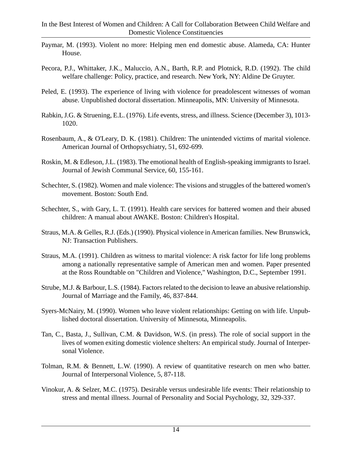- <span id="page-13-9"></span>Paymar, M. (1993). Violent no more: Helping men end domestic abuse. Alameda, CA: Hunter House.
- <span id="page-13-5"></span>Pecora, P.J., Whittaker, J.K., Maluccio, A.N., Barth, R.P. and Plotnick, R.D. (1992). The child welfare challenge: Policy, practice, and research. New York, NY: Aldine De Gruyter.
- <span id="page-13-4"></span>Peled, E. (1993). The experience of living with violence for preadolescent witnesses of woman abuse. Unpublished doctoral dissertation. Minneapolis, MN: University of Minnesota.
- <span id="page-13-11"></span><span id="page-13-3"></span>Rabkin, J.G. & Struening, E.L. (1976). Life events, stress, and illness. Science (December 3), 1013- 1020.
- <span id="page-13-13"></span>Rosenbaum, A., & O'Leary, D. K. (1981). Children: The unintended victims of marital violence. American Journal of Orthopsychiatry, 51, 692-699.
- <span id="page-13-0"></span>Roskin, M. & Edleson, J.L. (1983). The emotional health of English-speaking immigrants to Israel. Journal of Jewish Communal Service, 60, 155-161.
- <span id="page-13-7"></span>Schechter, S. (1982). Women and male violence: The visions and struggles of the battered women's movement. Boston: South End.
- <span id="page-13-1"></span>Schechter, S., with Gary, L. T. (1991). Health care services for battered women and their abused children: A manual about AWAKE. Boston: Children's Hospital.
- <span id="page-13-2"></span>Straus, M.A. & Gelles, R.J. (Eds.) (1990). Physical violence in American families. New Brunswick, NJ: Transaction Publishers.
- <span id="page-13-6"></span>Straus, M.A. (1991). Children as witness to marital violence: A risk factor for life long problems among a nationally representative sample of American men and women. Paper presented at the Ross Roundtable on "Children and Violence," Washington, D.C., September 1991.
- <span id="page-13-10"></span>Strube, M.J. & Barbour, L.S. (1984). Factors related to the decision to leave an abusive relationship. Journal of Marriage and the Family, 46, 837-844.
- <span id="page-13-14"></span>Syers-McNairy, M. (1990). Women who leave violent relationships: Getting on with life. Unpublished doctoral dissertation. University of Minnesota, Minneapolis.
- <span id="page-13-8"></span>Tan, C., Basta, J., Sullivan, C.M. & Davidson, W.S. (in press). The role of social support in the lives of women exiting domestic violence shelters: An empirical study. Journal of Interpersonal Violence.
- <span id="page-13-12"></span>Tolman, R.M. & Bennett, L.W. (1990). A review of quantitative research on men who batter. Journal of Interpersonal Violence, 5, 87-118.
- Vinokur, A. & Selzer, M.C. (1975). Desirable versus undesirable life events: Their relationship to stress and mental illness. Journal of Personality and Social Psychology, 32, 329-337.